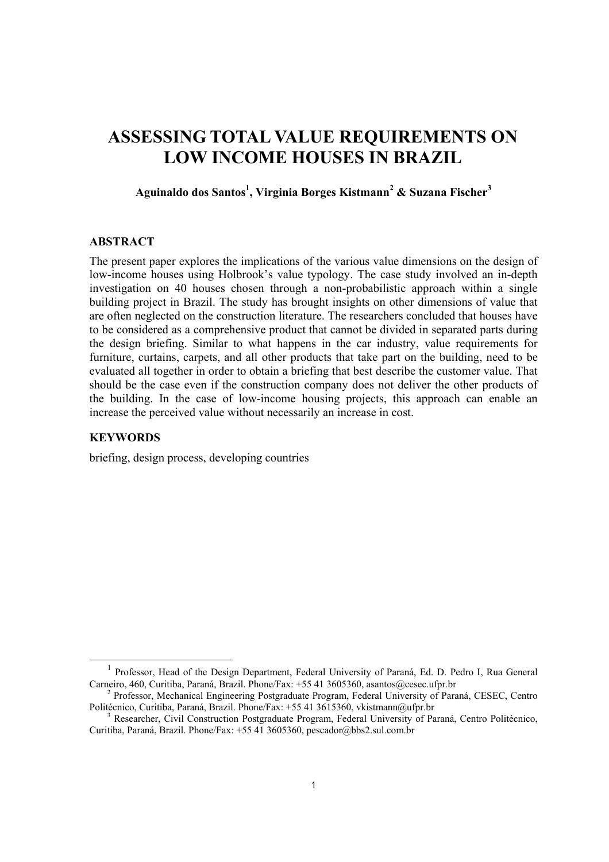# **ASSESSING TOTAL VALUE REQUIREMENTS ON LOW INCOME HOUSES IN BRAZIL**

**Aguinaldo dos Santos<sup>1</sup> , Virginia Borges Kistmann<sup>2</sup> & Suzana Fischer<sup>3</sup>**

## **ABSTRACT**

The present paper explores the implications of the various value dimensions on the design of low-income houses using Holbrook's value typology. The case study involved an in-depth investigation on 40 houses chosen through a non-probabilistic approach within a single building project in Brazil. The study has brought insights on other dimensions of value that are often neglected on the construction literature. The researchers concluded that houses have to be considered as a comprehensive product that cannot be divided in separated parts during the design briefing. Similar to what happens in the car industry, value requirements for furniture, curtains, carpets, and all other products that take part on the building, need to be evaluated all together in order to obtain a briefing that best describe the customer value. That should be the case even if the construction company does not deliver the other products of the building. In the case of low-income housing projects, this approach can enable an increase the perceived value without necessarily an increase in cost.

#### **KEYWORDS**

briefing, design process, developing countries

 $\frac{1}{1}$ <sup>1</sup> Professor, Head of the Design Department, Federal University of Paraná, Ed. D. Pedro I, Rua General Carneiro, 460, Curitiba, Paraná, Brazil. Phone/Fax: +55 41 3605360, asantos@cesec.ufpr.br 2

<sup>&</sup>lt;sup>2</sup> Professor, Mechanical Engineering Postgraduate Program, Federal University of Paraná, CESEC, Centro Politécnico, Curitiba, Paraná, Brazil. Phone/Fax: +55 41 3615360, vkistmann@ufpr.br

<sup>&</sup>lt;sup>3</sup> Researcher, Civil Construction Postgraduate Program, Federal University of Paraná, Centro Politécnico, Curitiba, Paraná, Brazil. Phone/Fax: +55 41 3605360, pescador@bbs2.sul.com.br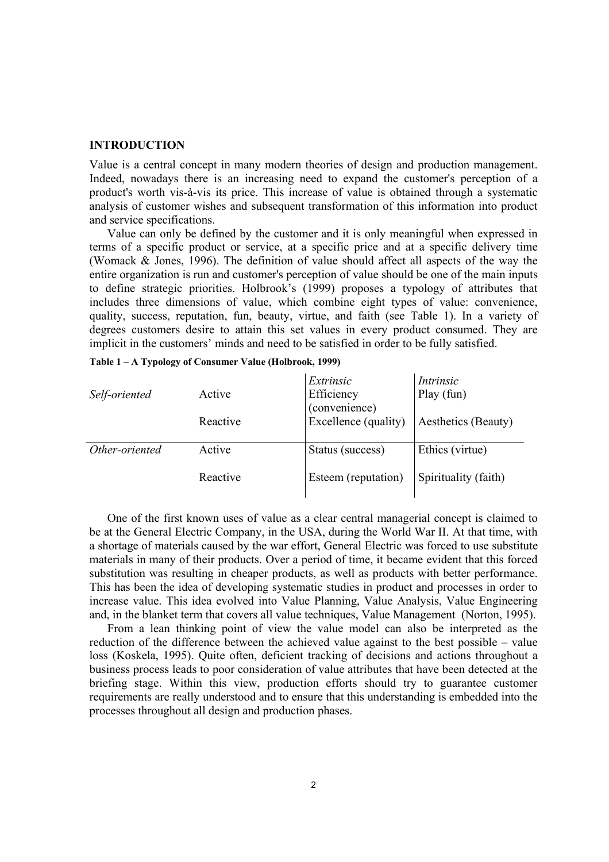#### **INTRODUCTION**

Value is a central concept in many modern theories of design and production management. Indeed, nowadays there is an increasing need to expand the customer's perception of a product's worth vis-à-vis its price. This increase of value is obtained through a systematic analysis of customer wishes and subsequent transformation of this information into product and service specifications.

Value can only be defined by the customer and it is only meaningful when expressed in terms of a specific product or service, at a specific price and at a specific delivery time (Womack & Jones, 1996). The definition of value should affect all aspects of the way the entire organization is run and customer's perception of value should be one of the main inputs to define strategic priorities. Holbrook's (1999) proposes a typology of attributes that includes three dimensions of value, which combine eight types of value: convenience, quality, success, reputation, fun, beauty, virtue, and faith (see Table 1). In a variety of degrees customers desire to attain this set values in every product consumed. They are implicit in the customers' minds and need to be satisfied in order to be fully satisfied.

| Self-oriented  | Active   | Extrinsic<br>Efficiency<br>(convenience) | Intrinsic<br>Play (fun) |
|----------------|----------|------------------------------------------|-------------------------|
|                | Reactive | Excellence (quality)                     | Aesthetics (Beauty)     |
| Other-oriented | Active   | Status (success)                         | Ethics (virtue)         |
|                | Reactive | Esteem (reputation)                      | Spirituality (faith)    |

|  |  |  |  |  |  |  |  | Table 1 – A Typology of Consumer Value (Holbrook, 1999) |  |
|--|--|--|--|--|--|--|--|---------------------------------------------------------|--|
|--|--|--|--|--|--|--|--|---------------------------------------------------------|--|

One of the first known uses of value as a clear central managerial concept is claimed to be at the General Electric Company, in the USA, during the World War II. At that time, with a shortage of materials caused by the war effort, General Electric was forced to use substitute materials in many of their products. Over a period of time, it became evident that this forced substitution was resulting in cheaper products, as well as products with better performance. This has been the idea of developing systematic studies in product and processes in order to increase value. This idea evolved into Value Planning, Value Analysis, Value Engineering and, in the blanket term that covers all value techniques, Value Management (Norton, 1995).

From a lean thinking point of view the value model can also be interpreted as the reduction of the difference between the achieved value against to the best possible – value loss (Koskela, 1995). Quite often, deficient tracking of decisions and actions throughout a business process leads to poor consideration of value attributes that have been detected at the briefing stage. Within this view, production efforts should try to guarantee customer requirements are really understood and to ensure that this understanding is embedded into the processes throughout all design and production phases.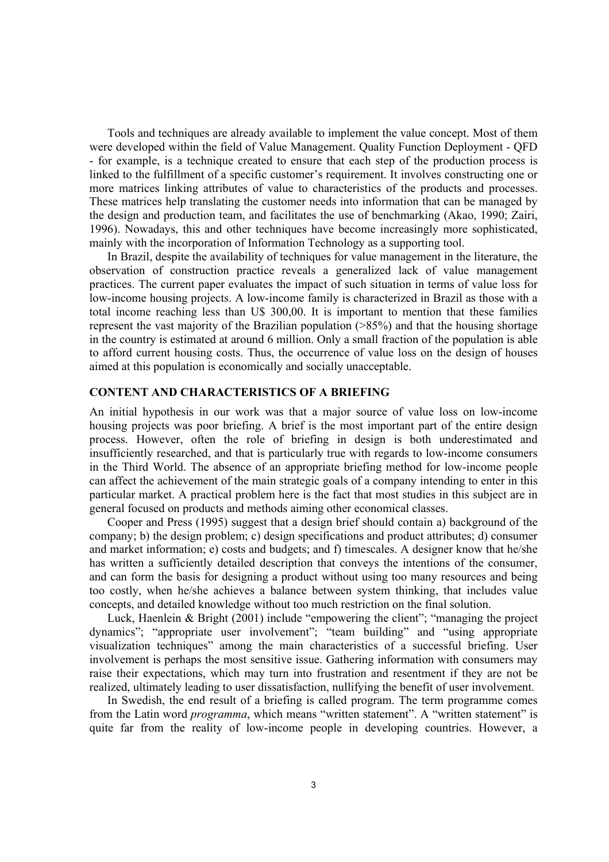Tools and techniques are already available to implement the value concept. Most of them were developed within the field of Value Management. Quality Function Deployment - QFD - for example, is a technique created to ensure that each step of the production process is linked to the fulfillment of a specific customer's requirement. It involves constructing one or more matrices linking attributes of value to characteristics of the products and processes. These matrices help translating the customer needs into information that can be managed by the design and production team, and facilitates the use of benchmarking (Akao, 1990; Zairi, 1996). Nowadays, this and other techniques have become increasingly more sophisticated, mainly with the incorporation of Information Technology as a supporting tool.

In Brazil, despite the availability of techniques for value management in the literature, the observation of construction practice reveals a generalized lack of value management practices. The current paper evaluates the impact of such situation in terms of value loss for low-income housing projects. A low-income family is characterized in Brazil as those with a total income reaching less than U\$ 300,00. It is important to mention that these families represent the vast majority of the Brazilian population (>85%) and that the housing shortage in the country is estimated at around 6 million. Only a small fraction of the population is able to afford current housing costs. Thus, the occurrence of value loss on the design of houses aimed at this population is economically and socially unacceptable.

## **CONTENT AND CHARACTERISTICS OF A BRIEFING**

An initial hypothesis in our work was that a major source of value loss on low-income housing projects was poor briefing. A brief is the most important part of the entire design process. However, often the role of briefing in design is both underestimated and insufficiently researched, and that is particularly true with regards to low-income consumers in the Third World. The absence of an appropriate briefing method for low-income people can affect the achievement of the main strategic goals of a company intending to enter in this particular market. A practical problem here is the fact that most studies in this subject are in general focused on products and methods aiming other economical classes.

Cooper and Press (1995) suggest that a design brief should contain a) background of the company; b) the design problem; c) design specifications and product attributes; d) consumer and market information; e) costs and budgets; and f) timescales. A designer know that he/she has written a sufficiently detailed description that conveys the intentions of the consumer, and can form the basis for designing a product without using too many resources and being too costly, when he/she achieves a balance between system thinking, that includes value concepts, and detailed knowledge without too much restriction on the final solution.

Luck, Haenlein & Bright (2001) include "empowering the client"; "managing the project dynamics"; "appropriate user involvement"; "team building" and "using appropriate visualization techniques" among the main characteristics of a successful briefing. User involvement is perhaps the most sensitive issue. Gathering information with consumers may raise their expectations, which may turn into frustration and resentment if they are not be realized, ultimately leading to user dissatisfaction, nullifying the benefit of user involvement.

In Swedish, the end result of a briefing is called program. The term programme comes from the Latin word *programma*, which means "written statement". A "written statement" is quite far from the reality of low-income people in developing countries. However, a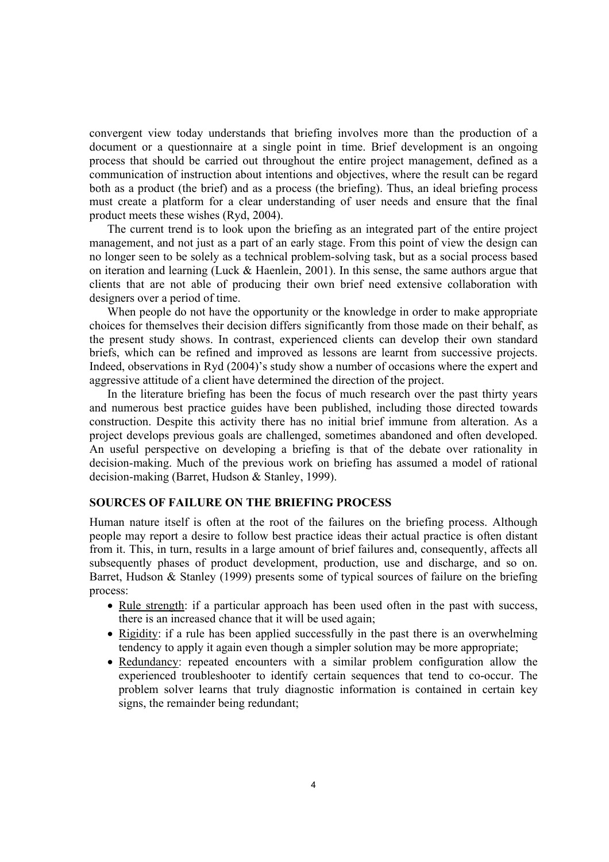convergent view today understands that briefing involves more than the production of a document or a questionnaire at a single point in time. Brief development is an ongoing process that should be carried out throughout the entire project management, defined as a communication of instruction about intentions and objectives, where the result can be regard both as a product (the brief) and as a process (the briefing). Thus, an ideal briefing process must create a platform for a clear understanding of user needs and ensure that the final product meets these wishes (Ryd, 2004).

The current trend is to look upon the briefing as an integrated part of the entire project management, and not just as a part of an early stage. From this point of view the design can no longer seen to be solely as a technical problem-solving task, but as a social process based on iteration and learning (Luck & Haenlein, 2001). In this sense, the same authors argue that clients that are not able of producing their own brief need extensive collaboration with designers over a period of time.

When people do not have the opportunity or the knowledge in order to make appropriate choices for themselves their decision differs significantly from those made on their behalf, as the present study shows. In contrast, experienced clients can develop their own standard briefs, which can be refined and improved as lessons are learnt from successive projects. Indeed, observations in Ryd (2004)'s study show a number of occasions where the expert and aggressive attitude of a client have determined the direction of the project.

In the literature briefing has been the focus of much research over the past thirty years and numerous best practice guides have been published, including those directed towards construction. Despite this activity there has no initial brief immune from alteration. As a project develops previous goals are challenged, sometimes abandoned and often developed. An useful perspective on developing a briefing is that of the debate over rationality in decision-making. Much of the previous work on briefing has assumed a model of rational decision-making (Barret, Hudson & Stanley, 1999).

# **SOURCES OF FAILURE ON THE BRIEFING PROCESS**

Human nature itself is often at the root of the failures on the briefing process. Although people may report a desire to follow best practice ideas their actual practice is often distant from it. This, in turn, results in a large amount of brief failures and, consequently, affects all subsequently phases of product development, production, use and discharge, and so on. Barret, Hudson & Stanley (1999) presents some of typical sources of failure on the briefing process:

- Rule strength: if a particular approach has been used often in the past with success, there is an increased chance that it will be used again;
- Rigidity: if a rule has been applied successfully in the past there is an overwhelming tendency to apply it again even though a simpler solution may be more appropriate;
- Redundancy: repeated encounters with a similar problem configuration allow the experienced troubleshooter to identify certain sequences that tend to co-occur. The problem solver learns that truly diagnostic information is contained in certain key signs, the remainder being redundant;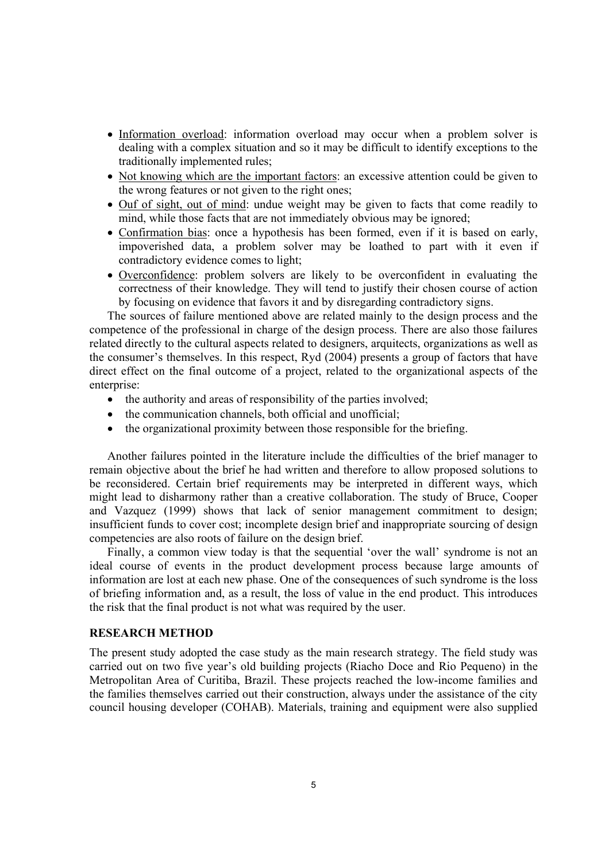- Information overload: information overload may occur when a problem solver is dealing with a complex situation and so it may be difficult to identify exceptions to the traditionally implemented rules;
- Not knowing which are the important factors: an excessive attention could be given to the wrong features or not given to the right ones;
- Ouf of sight, out of mind: undue weight may be given to facts that come readily to mind, while those facts that are not immediately obvious may be ignored;
- Confirmation bias: once a hypothesis has been formed, even if it is based on early, impoverished data, a problem solver may be loathed to part with it even if contradictory evidence comes to light;
- Overconfidence: problem solvers are likely to be overconfident in evaluating the correctness of their knowledge. They will tend to justify their chosen course of action by focusing on evidence that favors it and by disregarding contradictory signs.

The sources of failure mentioned above are related mainly to the design process and the competence of the professional in charge of the design process. There are also those failures related directly to the cultural aspects related to designers, arquitects, organizations as well as the consumer's themselves. In this respect, Ryd (2004) presents a group of factors that have direct effect on the final outcome of a project, related to the organizational aspects of the enterprise:

- the authority and areas of responsibility of the parties involved;
- the communication channels, both official and unofficial;
- the organizational proximity between those responsible for the briefing.

Another failures pointed in the literature include the difficulties of the brief manager to remain objective about the brief he had written and therefore to allow proposed solutions to be reconsidered. Certain brief requirements may be interpreted in different ways, which might lead to disharmony rather than a creative collaboration. The study of Bruce, Cooper and Vazquez (1999) shows that lack of senior management commitment to design; insufficient funds to cover cost; incomplete design brief and inappropriate sourcing of design competencies are also roots of failure on the design brief.

Finally, a common view today is that the sequential 'over the wall' syndrome is not an ideal course of events in the product development process because large amounts of information are lost at each new phase. One of the consequences of such syndrome is the loss of briefing information and, as a result, the loss of value in the end product. This introduces the risk that the final product is not what was required by the user.

# **RESEARCH METHOD**

The present study adopted the case study as the main research strategy. The field study was carried out on two five year's old building projects (Riacho Doce and Rio Pequeno) in the Metropolitan Area of Curitiba, Brazil. These projects reached the low-income families and the families themselves carried out their construction, always under the assistance of the city council housing developer (COHAB). Materials, training and equipment were also supplied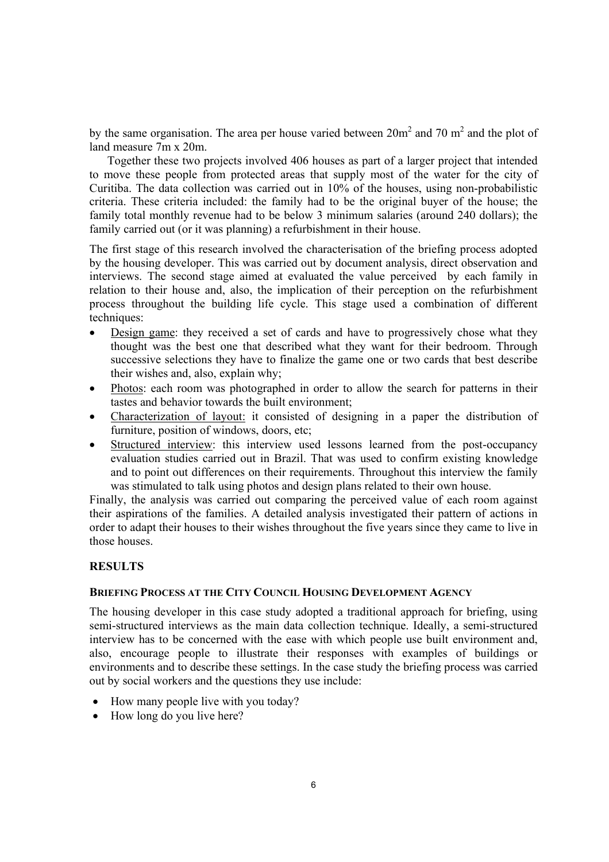by the same organisation. The area per house varied between  $20m^2$  and 70 m<sup>2</sup> and the plot of land measure 7m x 20m.

Together these two projects involved 406 houses as part of a larger project that intended to move these people from protected areas that supply most of the water for the city of Curitiba. The data collection was carried out in 10% of the houses, using non-probabilistic criteria. These criteria included: the family had to be the original buyer of the house; the family total monthly revenue had to be below 3 minimum salaries (around 240 dollars); the family carried out (or it was planning) a refurbishment in their house.

The first stage of this research involved the characterisation of the briefing process adopted by the housing developer. This was carried out by document analysis, direct observation and interviews. The second stage aimed at evaluated the value perceived by each family in relation to their house and, also, the implication of their perception on the refurbishment process throughout the building life cycle. This stage used a combination of different techniques:

- Design game: they received a set of cards and have to progressively chose what they thought was the best one that described what they want for their bedroom. Through successive selections they have to finalize the game one or two cards that best describe their wishes and, also, explain why;
- Photos: each room was photographed in order to allow the search for patterns in their tastes and behavior towards the built environment;
- Characterization of layout: it consisted of designing in a paper the distribution of furniture, position of windows, doors, etc;
- Structured interview: this interview used lessons learned from the post-occupancy evaluation studies carried out in Brazil. That was used to confirm existing knowledge and to point out differences on their requirements. Throughout this interview the family was stimulated to talk using photos and design plans related to their own house.

Finally, the analysis was carried out comparing the perceived value of each room against their aspirations of the families. A detailed analysis investigated their pattern of actions in order to adapt their houses to their wishes throughout the five years since they came to live in those houses.

# **RESULTS**

#### **BRIEFING PROCESS AT THE CITY COUNCIL HOUSING DEVELOPMENT AGENCY**

The housing developer in this case study adopted a traditional approach for briefing, using semi-structured interviews as the main data collection technique. Ideally, a semi-structured interview has to be concerned with the ease with which people use built environment and, also, encourage people to illustrate their responses with examples of buildings or environments and to describe these settings. In the case study the briefing process was carried out by social workers and the questions they use include:

- How many people live with you today?
- How long do you live here?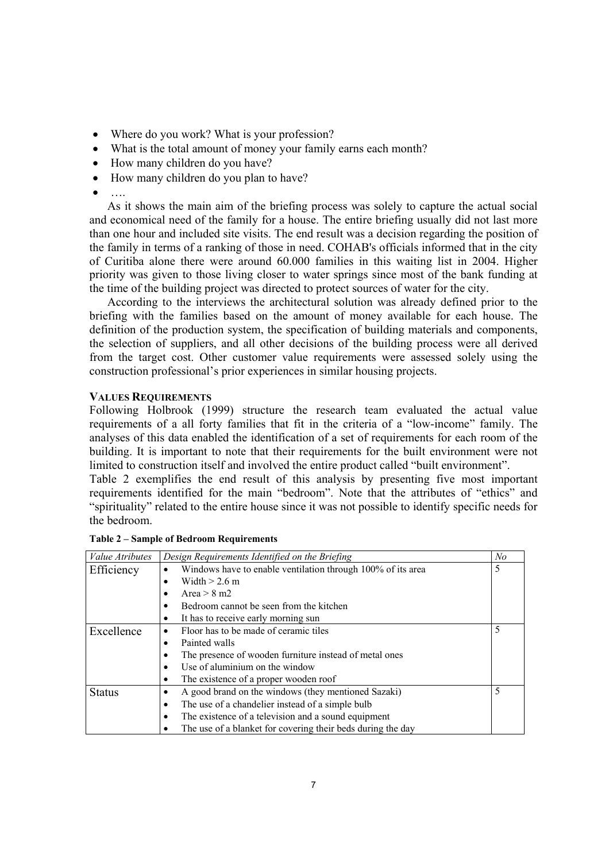- Where do you work? What is your profession?
- What is the total amount of money your family earns each month?
- How many children do you have?
- How many children do you plan to have?
- $\bullet$   $\ldots$

As it shows the main aim of the briefing process was solely to capture the actual social and economical need of the family for a house. The entire briefing usually did not last more than one hour and included site visits. The end result was a decision regarding the position of the family in terms of a ranking of those in need. COHAB's officials informed that in the city of Curitiba alone there were around 60.000 families in this waiting list in 2004. Higher priority was given to those living closer to water springs since most of the bank funding at the time of the building project was directed to protect sources of water for the city.

According to the interviews the architectural solution was already defined prior to the briefing with the families based on the amount of money available for each house. The definition of the production system, the specification of building materials and components, the selection of suppliers, and all other decisions of the building process were all derived from the target cost. Other customer value requirements were assessed solely using the construction professional's prior experiences in similar housing projects.

# **VALUES REQUIREMENTS**

Following Holbrook (1999) structure the research team evaluated the actual value requirements of a all forty families that fit in the criteria of a "low-income" family. The analyses of this data enabled the identification of a set of requirements for each room of the building. It is important to note that their requirements for the built environment were not limited to construction itself and involved the entire product called "built environment".

Table 2 exemplifies the end result of this analysis by presenting five most important requirements identified for the main "bedroom". Note that the attributes of "ethics" and "spirituality" related to the entire house since it was not possible to identify specific needs for the bedroom.

| Value Atributes | Design Requirements Identified on the Briefing                   | N <sub>o</sub> |
|-----------------|------------------------------------------------------------------|----------------|
| Efficiency      | Windows have to enable ventilation through 100% of its area<br>٠ | 5              |
|                 | Width $> 2.6$ m                                                  |                |
|                 | Area $> 8$ m2                                                    |                |
|                 | Bedroom cannot be seen from the kitchen                          |                |
|                 | It has to receive early morning sun                              |                |
| Excellence      | Floor has to be made of ceramic tiles                            | 5              |
|                 | Painted walls                                                    |                |
|                 | The presence of wooden furniture instead of metal ones           |                |
|                 | Use of aluminium on the window                                   |                |
|                 | The existence of a proper wooden roof                            |                |
| <b>Status</b>   | A good brand on the windows (they mentioned Sazaki)              | 5              |
|                 | The use of a chandelier instead of a simple bulb                 |                |
|                 | The existence of a television and a sound equipment              |                |
|                 | The use of a blanket for covering their beds during the day      |                |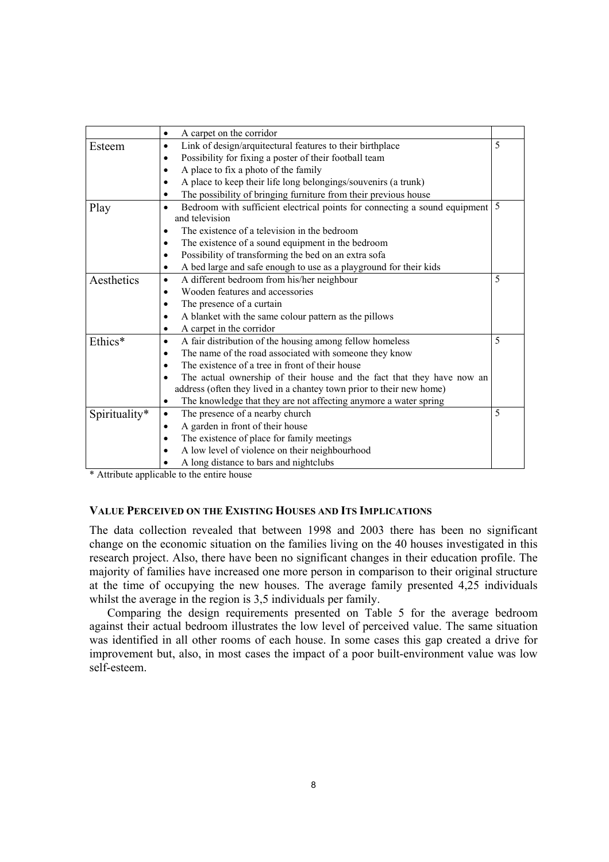|               | A carpet on the corridor<br>$\bullet$                                                   |   |  |  |  |  |
|---------------|-----------------------------------------------------------------------------------------|---|--|--|--|--|
| Esteem        | 5<br>Link of design/arquitectural features to their birthplace<br>$\bullet$             |   |  |  |  |  |
|               | Possibility for fixing a poster of their football team<br>$\bullet$                     |   |  |  |  |  |
|               | A place to fix a photo of the family<br>٠                                               |   |  |  |  |  |
|               | A place to keep their life long belongings/souvenirs (a trunk)<br>$\bullet$             |   |  |  |  |  |
|               | The possibility of bringing furniture from their previous house                         |   |  |  |  |  |
| Play          | Bedroom with sufficient electrical points for connecting a sound equipment<br>$\bullet$ | 5 |  |  |  |  |
|               | and television                                                                          |   |  |  |  |  |
|               | The existence of a television in the bedroom<br>٠                                       |   |  |  |  |  |
|               | The existence of a sound equipment in the bedroom<br>$\bullet$                          |   |  |  |  |  |
|               | Possibility of transforming the bed on an extra sofa<br>$\bullet$                       |   |  |  |  |  |
|               | A bed large and safe enough to use as a playground for their kids<br>$\bullet$          |   |  |  |  |  |
| Aesthetics    | A different bedroom from his/her neighbour<br>$\bullet$                                 | 5 |  |  |  |  |
|               | Wooden features and accessories<br>$\bullet$                                            |   |  |  |  |  |
|               | The presence of a curtain<br>٠                                                          |   |  |  |  |  |
|               | A blanket with the same colour pattern as the pillows<br>$\bullet$                      |   |  |  |  |  |
|               | A carpet in the corridor<br>٠                                                           |   |  |  |  |  |
| Ethics*       | A fair distribution of the housing among fellow homeless<br>$\bullet$                   | 5 |  |  |  |  |
|               | The name of the road associated with someone they know<br>$\bullet$                     |   |  |  |  |  |
|               | The existence of a tree in front of their house<br>٠                                    |   |  |  |  |  |
|               | The actual ownership of their house and the fact that they have now an                  |   |  |  |  |  |
|               | address (often they lived in a chantey town prior to their new home)                    |   |  |  |  |  |
|               | The knowledge that they are not affecting anymore a water spring<br>٠                   |   |  |  |  |  |
| Spirituality* | The presence of a nearby church<br>$\bullet$                                            | 5 |  |  |  |  |
|               | A garden in front of their house<br>$\bullet$                                           |   |  |  |  |  |
|               | The existence of place for family meetings                                              |   |  |  |  |  |
|               | A low level of violence on their neighbourhood<br>$\bullet$                             |   |  |  |  |  |
|               | A long distance to bars and nightclubs                                                  |   |  |  |  |  |

\* Attribute applicable to the entire house

#### **VALUE PERCEIVED ON THE EXISTING HOUSES AND ITS IMPLICATIONS**

The data collection revealed that between 1998 and 2003 there has been no significant change on the economic situation on the families living on the 40 houses investigated in this research project. Also, there have been no significant changes in their education profile. The majority of families have increased one more person in comparison to their original structure at the time of occupying the new houses. The average family presented 4,25 individuals whilst the average in the region is 3,5 individuals per family.

Comparing the design requirements presented on Table 5 for the average bedroom against their actual bedroom illustrates the low level of perceived value. The same situation was identified in all other rooms of each house. In some cases this gap created a drive for improvement but, also, in most cases the impact of a poor built-environment value was low self-esteem.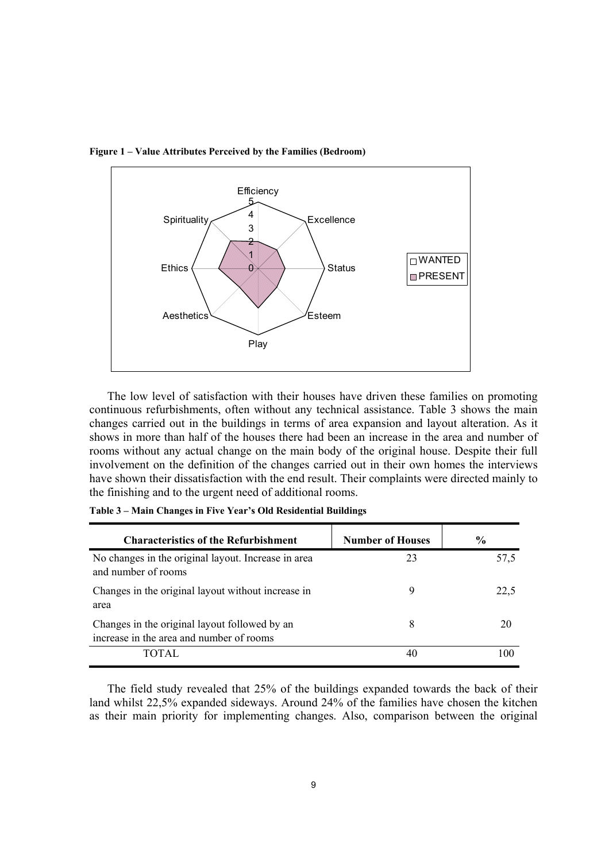

**Figure 1 – Value Attributes Perceived by the Families (Bedroom)** 

The low level of satisfaction with their houses have driven these families on promoting continuous refurbishments, often without any technical assistance. Table 3 shows the main changes carried out in the buildings in terms of area expansion and layout alteration. As it shows in more than half of the houses there had been an increase in the area and number of rooms without any actual change on the main body of the original house. Despite their full involvement on the definition of the changes carried out in their own homes the interviews have shown their dissatisfaction with the end result. Their complaints were directed mainly to the finishing and to the urgent need of additional rooms.

| <b>Characteristics of the Refurbishment</b>                                               | <b>Number of Houses</b> | $\frac{6}{9}$ |
|-------------------------------------------------------------------------------------------|-------------------------|---------------|
| No changes in the original layout. Increase in area<br>and number of rooms                | 23                      | 57,5          |
| Changes in the original layout without increase in<br>area                                | 9                       | 22,5          |
| Changes in the original layout followed by an<br>increase in the area and number of rooms | 8                       | 20            |
| TOTAL.                                                                                    | 40                      | 100           |

**Table 3 – Main Changes in Five Year's Old Residential Buildings** 

The field study revealed that 25% of the buildings expanded towards the back of their land whilst 22,5% expanded sideways. Around 24% of the families have chosen the kitchen as their main priority for implementing changes. Also, comparison between the original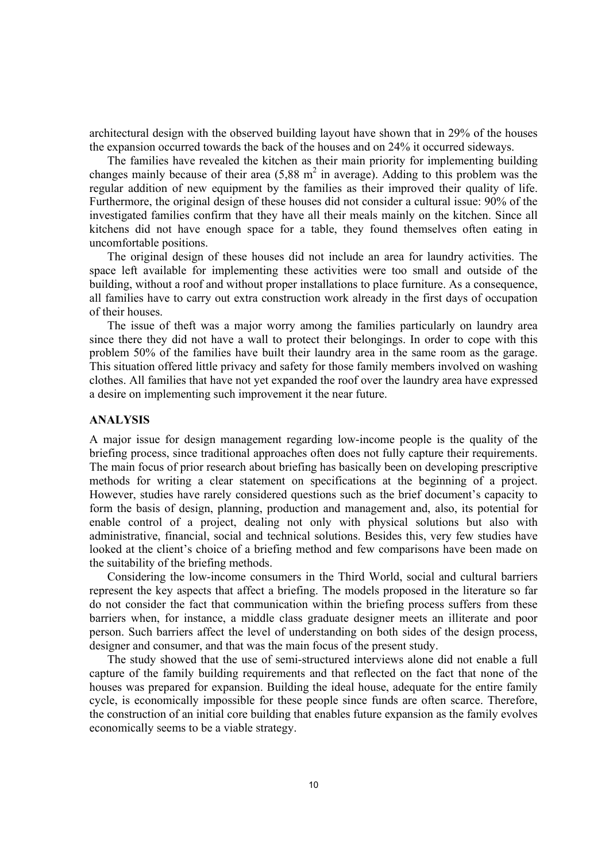architectural design with the observed building layout have shown that in 29% of the houses the expansion occurred towards the back of the houses and on 24% it occurred sideways.

The families have revealed the kitchen as their main priority for implementing building changes mainly because of their area  $(5,88 \text{ m}^2 \text{ in average})$ . Adding to this problem was the regular addition of new equipment by the families as their improved their quality of life. Furthermore, the original design of these houses did not consider a cultural issue: 90% of the investigated families confirm that they have all their meals mainly on the kitchen. Since all kitchens did not have enough space for a table, they found themselves often eating in uncomfortable positions.

The original design of these houses did not include an area for laundry activities. The space left available for implementing these activities were too small and outside of the building, without a roof and without proper installations to place furniture. As a consequence, all families have to carry out extra construction work already in the first days of occupation of their houses.

The issue of theft was a major worry among the families particularly on laundry area since there they did not have a wall to protect their belongings. In order to cope with this problem 50% of the families have built their laundry area in the same room as the garage. This situation offered little privacy and safety for those family members involved on washing clothes. All families that have not yet expanded the roof over the laundry area have expressed a desire on implementing such improvement it the near future.

# **ANALYSIS**

A major issue for design management regarding low-income people is the quality of the briefing process, since traditional approaches often does not fully capture their requirements. The main focus of prior research about briefing has basically been on developing prescriptive methods for writing a clear statement on specifications at the beginning of a project. However, studies have rarely considered questions such as the brief document's capacity to form the basis of design, planning, production and management and, also, its potential for enable control of a project, dealing not only with physical solutions but also with administrative, financial, social and technical solutions. Besides this, very few studies have looked at the client's choice of a briefing method and few comparisons have been made on the suitability of the briefing methods.

Considering the low-income consumers in the Third World, social and cultural barriers represent the key aspects that affect a briefing. The models proposed in the literature so far do not consider the fact that communication within the briefing process suffers from these barriers when, for instance, a middle class graduate designer meets an illiterate and poor person. Such barriers affect the level of understanding on both sides of the design process, designer and consumer, and that was the main focus of the present study.

The study showed that the use of semi-structured interviews alone did not enable a full capture of the family building requirements and that reflected on the fact that none of the houses was prepared for expansion. Building the ideal house, adequate for the entire family cycle, is economically impossible for these people since funds are often scarce. Therefore, the construction of an initial core building that enables future expansion as the family evolves economically seems to be a viable strategy.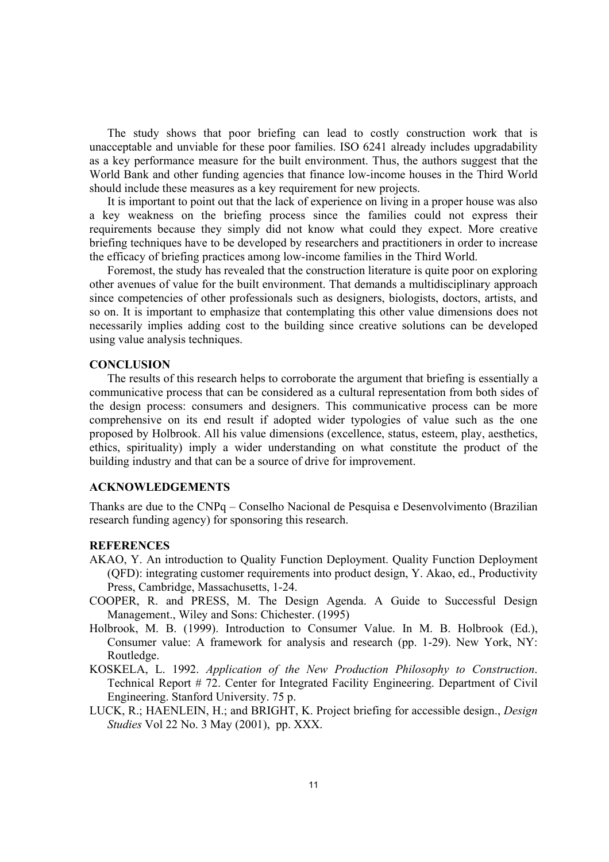The study shows that poor briefing can lead to costly construction work that is unacceptable and unviable for these poor families. ISO 6241 already includes upgradability as a key performance measure for the built environment. Thus, the authors suggest that the World Bank and other funding agencies that finance low-income houses in the Third World should include these measures as a key requirement for new projects.

It is important to point out that the lack of experience on living in a proper house was also a key weakness on the briefing process since the families could not express their requirements because they simply did not know what could they expect. More creative briefing techniques have to be developed by researchers and practitioners in order to increase the efficacy of briefing practices among low-income families in the Third World.

Foremost, the study has revealed that the construction literature is quite poor on exploring other avenues of value for the built environment. That demands a multidisciplinary approach since competencies of other professionals such as designers, biologists, doctors, artists, and so on. It is important to emphasize that contemplating this other value dimensions does not necessarily implies adding cost to the building since creative solutions can be developed using value analysis techniques.

#### **CONCLUSION**

The results of this research helps to corroborate the argument that briefing is essentially a communicative process that can be considered as a cultural representation from both sides of the design process: consumers and designers. This communicative process can be more comprehensive on its end result if adopted wider typologies of value such as the one proposed by Holbrook. All his value dimensions (excellence, status, esteem, play, aesthetics, ethics, spirituality) imply a wider understanding on what constitute the product of the building industry and that can be a source of drive for improvement.

# **ACKNOWLEDGEMENTS**

Thanks are due to the CNPq – Conselho Nacional de Pesquisa e Desenvolvimento (Brazilian research funding agency) for sponsoring this research.

# **REFERENCES**

- AKAO, Y. An introduction to Quality Function Deployment. Quality Function Deployment (QFD): integrating customer requirements into product design, Y. Akao, ed., Productivity Press, Cambridge, Massachusetts, 1-24.
- COOPER, R. and PRESS, M. The Design Agenda. A Guide to Successful Design Management., Wiley and Sons: Chichester. (1995)
- Holbrook, M. B. (1999). Introduction to Consumer Value. In M. B. Holbrook (Ed.), Consumer value: A framework for analysis and research (pp. 1-29). New York, NY: Routledge.
- KOSKELA, L. 1992. *Application of the New Production Philosophy to Construction*. Technical Report # 72. Center for Integrated Facility Engineering. Department of Civil Engineering. Stanford University. 75 p.
- LUCK, R.; HAENLEIN, H.; and BRIGHT, K. Project briefing for accessible design., *Design Studies* Vol 22 No. 3 May (2001), pp. XXX.